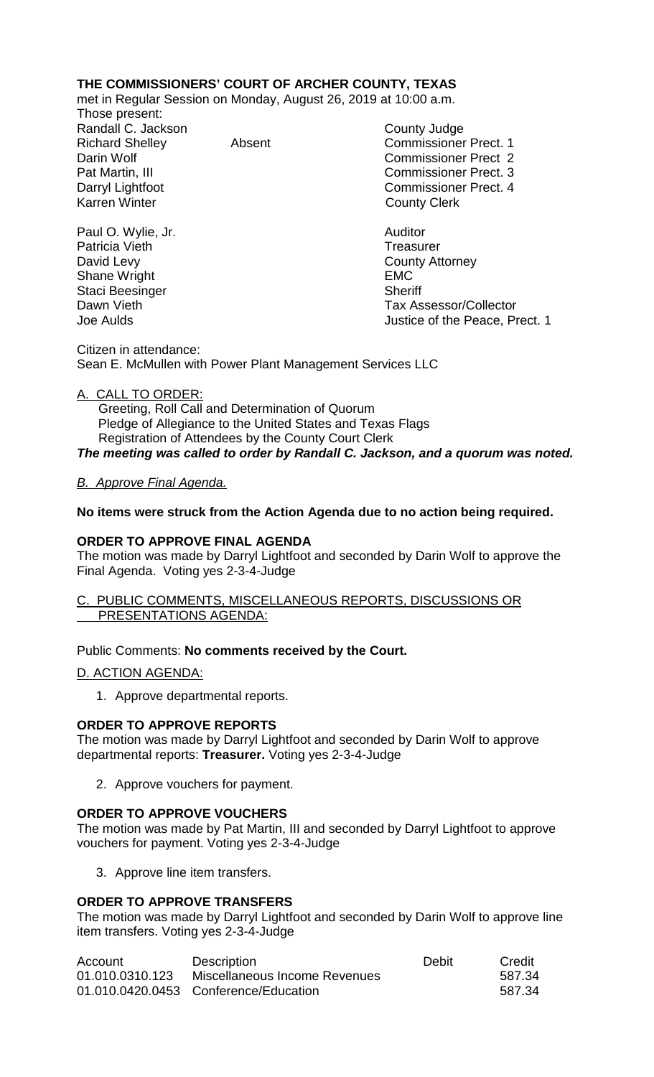## **THE COMMISSIONERS' COURT OF ARCHER COUNTY, TEXAS**

met in Regular Session on Monday, August 26, 2019 at 10:00 a.m.

Those present: Randall C. Jackson County Judge

Paul O. Wylie, Jr. Auditor Patricia Vieth David Levy **County Attorney** Shane Wright **EMC** Staci Beesinger Sheriff

Richard Shelley **Absent** Absent Commissioner Prect. 1 Darin Wolf Commissioner Prect 2 Pat Martin, III Commissioner Prect. 3 Darryl Lightfoot **Commissioner Prect. 4**<br>
Karren Winter **County County Clerk County Clerk** 

Dawn Vieth Tax Assessor/Collector<br>
Joe Aulds de Aulds Justice of the Peace, Prect. 1

Citizen in attendance: Sean E. McMullen with Power Plant Management Services LLC

## A. CALL TO ORDER:

 Greeting, Roll Call and Determination of Quorum Pledge of Allegiance to the United States and Texas Flags Registration of Attendees by the County Court Clerk *The meeting was called to order by Randall C. Jackson, and a quorum was noted.*

## *B. Approve Final Agenda.*

## **No items were struck from the Action Agenda due to no action being required.**

#### **ORDER TO APPROVE FINAL AGENDA**

The motion was made by Darryl Lightfoot and seconded by Darin Wolf to approve the Final Agenda. Voting yes 2-3-4-Judge

#### C. PUBLIC COMMENTS, MISCELLANEOUS REPORTS, DISCUSSIONS OR PRESENTATIONS AGENDA:

## Public Comments: **No comments received by the Court.**

D. ACTION AGENDA:

1. Approve departmental reports.

## **ORDER TO APPROVE REPORTS**

The motion was made by Darryl Lightfoot and seconded by Darin Wolf to approve departmental reports: **Treasurer.** Voting yes 2-3-4-Judge

2. Approve vouchers for payment.

## **ORDER TO APPROVE VOUCHERS**

The motion was made by Pat Martin, III and seconded by Darryl Lightfoot to approve vouchers for payment. Voting yes 2-3-4-Judge

3. Approve line item transfers.

## **ORDER TO APPROVE TRANSFERS**

The motion was made by Darryl Lightfoot and seconded by Darin Wolf to approve line item transfers. Voting yes 2-3-4-Judge

| Account         | <b>Description</b>                    | Debit | Credit |
|-----------------|---------------------------------------|-------|--------|
| 01.010.0310.123 | Miscellaneous Income Revenues         |       | 587.34 |
|                 | 01.010.0420.0453 Conference/Education |       | 587.34 |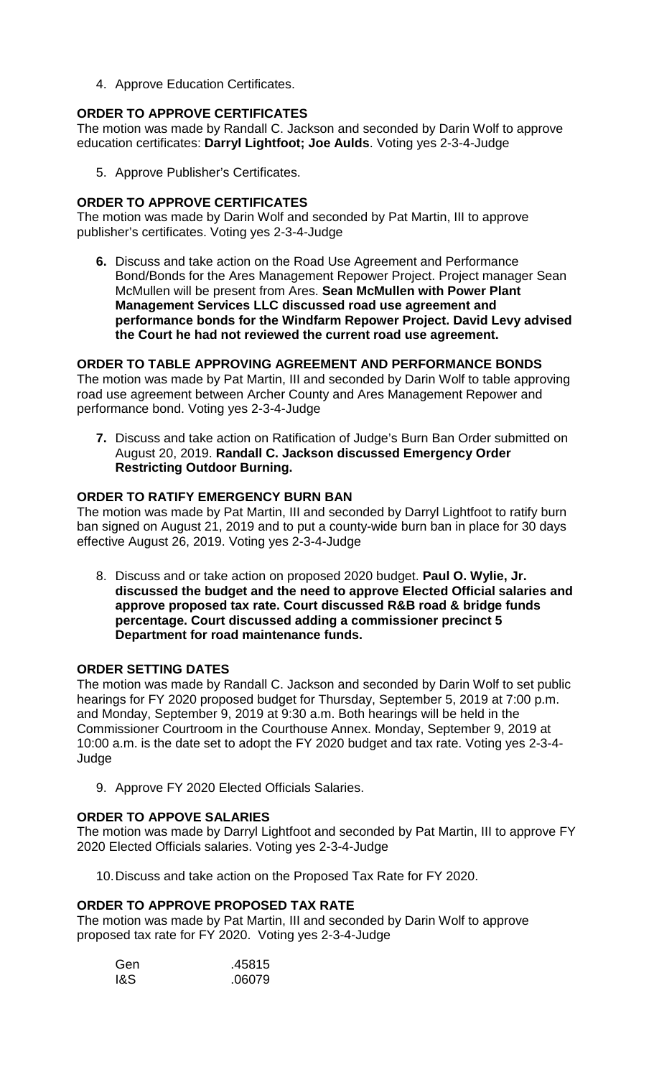4. Approve Education Certificates.

## **ORDER TO APPROVE CERTIFICATES**

The motion was made by Randall C. Jackson and seconded by Darin Wolf to approve education certificates: **Darryl Lightfoot; Joe Aulds**. Voting yes 2-3-4-Judge

5. Approve Publisher's Certificates.

#### **ORDER TO APPROVE CERTIFICATES**

The motion was made by Darin Wolf and seconded by Pat Martin, III to approve publisher's certificates. Voting yes 2-3-4-Judge

**6.** Discuss and take action on the Road Use Agreement and Performance Bond/Bonds for the Ares Management Repower Project. Project manager Sean McMullen will be present from Ares. **Sean McMullen with Power Plant Management Services LLC discussed road use agreement and performance bonds for the Windfarm Repower Project. David Levy advised the Court he had not reviewed the current road use agreement.**

#### **ORDER TO TABLE APPROVING AGREEMENT AND PERFORMANCE BONDS**

The motion was made by Pat Martin, III and seconded by Darin Wolf to table approving road use agreement between Archer County and Ares Management Repower and performance bond. Voting yes 2-3-4-Judge

**7.** Discuss and take action on Ratification of Judge's Burn Ban Order submitted on August 20, 2019. **Randall C. Jackson discussed Emergency Order Restricting Outdoor Burning.**

#### **ORDER TO RATIFY EMERGENCY BURN BAN**

The motion was made by Pat Martin, III and seconded by Darryl Lightfoot to ratify burn ban signed on August 21, 2019 and to put a county-wide burn ban in place for 30 days effective August 26, 2019. Voting yes 2-3-4-Judge

8. Discuss and or take action on proposed 2020 budget. **Paul O. Wylie, Jr. discussed the budget and the need to approve Elected Official salaries and approve proposed tax rate. Court discussed R&B road & bridge funds percentage. Court discussed adding a commissioner precinct 5 Department for road maintenance funds.**

#### **ORDER SETTING DATES**

The motion was made by Randall C. Jackson and seconded by Darin Wolf to set public hearings for FY 2020 proposed budget for Thursday, September 5, 2019 at 7:00 p.m. and Monday, September 9, 2019 at 9:30 a.m. Both hearings will be held in the Commissioner Courtroom in the Courthouse Annex. Monday, September 9, 2019 at 10:00 a.m. is the date set to adopt the FY 2020 budget and tax rate. Voting yes 2-3-4- Judge

9. Approve FY 2020 Elected Officials Salaries.

## **ORDER TO APPOVE SALARIES**

The motion was made by Darryl Lightfoot and seconded by Pat Martin, III to approve FY 2020 Elected Officials salaries. Voting yes 2-3-4-Judge

10.Discuss and take action on the Proposed Tax Rate for FY 2020.

## **ORDER TO APPROVE PROPOSED TAX RATE**

The motion was made by Pat Martin, III and seconded by Darin Wolf to approve proposed tax rate for FY 2020. Voting yes 2-3-4-Judge

| Gen | .45815 |
|-----|--------|
| 1&S | .06079 |